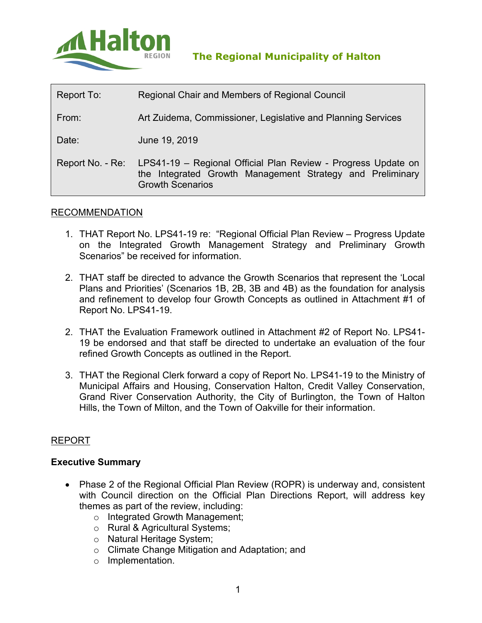

| Report To:       | Regional Chair and Members of Regional Council                                                                                                        |  |
|------------------|-------------------------------------------------------------------------------------------------------------------------------------------------------|--|
| From:            | Art Zuidema, Commissioner, Legislative and Planning Services                                                                                          |  |
| Date:            | June 19, 2019                                                                                                                                         |  |
| Report No. - Re: | LPS41-19 - Regional Official Plan Review - Progress Update on<br>the Integrated Growth Management Strategy and Preliminary<br><b>Growth Scenarios</b> |  |

### RECOMMENDATION

- 1. THAT Report No. LPS41-19 re: "Regional Official Plan Review Progress Update on the Integrated Growth Management Strategy and Preliminary Growth Scenarios" be received for information.
- 2. THAT staff be directed to advance the Growth Scenarios that represent the 'Local Plans and Priorities' (Scenarios 1B, 2B, 3B and 4B) as the foundation for analysis and refinement to develop four Growth Concepts as outlined in Attachment #1 of Report No. LPS41-19.
- 2. THAT the Evaluation Framework outlined in Attachment #2 of Report No. LPS41- 19 be endorsed and that staff be directed to undertake an evaluation of the four refined Growth Concepts as outlined in the Report.
- 3. THAT the Regional Clerk forward a copy of Report No. LPS41-19 to the Ministry of Municipal Affairs and Housing, Conservation Halton, Credit Valley Conservation, Grand River Conservation Authority, the City of Burlington, the Town of Halton Hills, the Town of Milton, and the Town of Oakville for their information.

#### REPORT

#### **Executive Summary**

- Phase 2 of the Regional Official Plan Review (ROPR) is underway and, consistent with Council direction on the Official Plan Directions Report, will address key themes as part of the review, including:
	- o Integrated Growth Management;
	- o Rural & Agricultural Systems;
	- o Natural Heritage System;
	- o Climate Change Mitigation and Adaptation; and
	- o Implementation.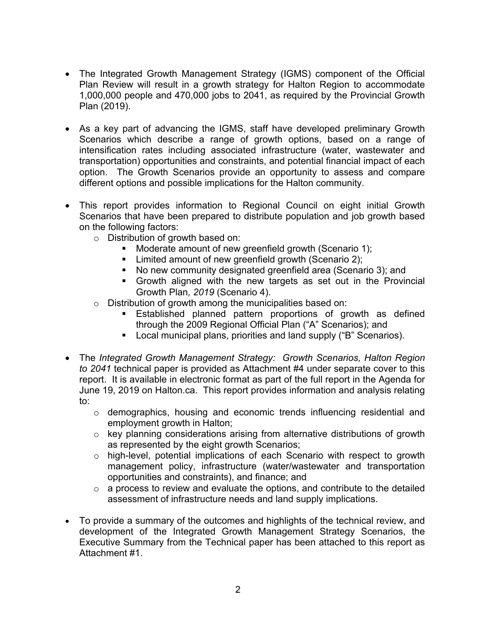- The Integrated Growth Management Strategy (IGMS) component of the Official Plan Review will result in a growth strategy for Halton Region to accommodate 1,000,000 people and 470,000 jobs to 2041, as required by the Provincial Growth Plan (2019).
- As a key part of advancing the IGMS, staff have developed preliminary Growth Scenarios which describe a range of growth options, based on a range of intensification rates including associated infrastructure (water, wastewater and transportation) opportunities and constraints, and potential financial impact of each option. The Growth Scenarios provide an opportunity to assess and compare different options and possible implications for the Halton community.
- This report provides information to Regional Council on eight initial Growth Scenarios that have been prepared to distribute population and job growth based on the following factors:
	- o Distribution of growth based on:
		- **Moderate amount of new greenfield growth (Scenario 1);**
		- **EXECT** Limited amount of new greenfield growth (Scenario 2);
		- No new community designated greenfield area (Scenario 3); and
		- Growth aligned with the new targets as set out in the Provincial Growth Plan*, 2019* (Scenario 4).
	- o Distribution of growth among the municipalities based on:
		- Established planned pattern proportions of growth as defined through the 2009 Regional Official Plan ("A" Scenarios); and
		- **Local municipal plans, priorities and land supply ("B" Scenarios).**
- The *Integrated Growth Management Strategy: Growth Scenarios, Halton Region to 2041* technical paper is provided as Attachment #4 under separate cover to this report. It is available in electronic format as part of the full report in the Agenda for June 19, 2019 on Halton.ca. This report provides information and analysis relating to:
	- o demographics, housing and economic trends influencing residential and employment growth in Halton;
	- o key planning considerations arising from alternative distributions of growth as represented by the eight growth Scenarios;
	- o high-level, potential implications of each Scenario with respect to growth management policy, infrastructure (water/wastewater and transportation opportunities and constraints), and finance; and
	- $\circ$  a process to review and evaluate the options, and contribute to the detailed assessment of infrastructure needs and land supply implications.
- To provide a summary of the outcomes and highlights of the technical review, and development of the Integrated Growth Management Strategy Scenarios, the Executive Summary from the Technical paper has been attached to this report as Attachment #1.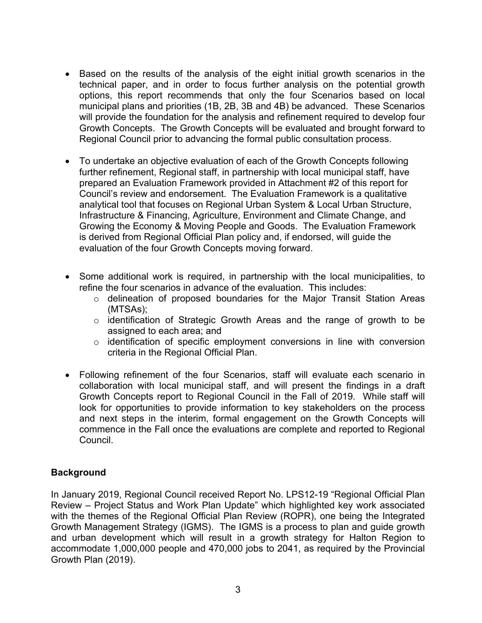- Based on the results of the analysis of the eight initial growth scenarios in the technical paper, and in order to focus further analysis on the potential growth options, this report recommends that only the four Scenarios based on local municipal plans and priorities (1B, 2B, 3B and 4B) be advanced. These Scenarios will provide the foundation for the analysis and refinement required to develop four Growth Concepts. The Growth Concepts will be evaluated and brought forward to Regional Council prior to advancing the formal public consultation process.
- To undertake an objective evaluation of each of the Growth Concepts following further refinement, Regional staff, in partnership with local municipal staff, have prepared an Evaluation Framework provided in Attachment #2 of this report for Council's review and endorsement. The Evaluation Framework is a qualitative analytical tool that focuses on Regional Urban System & Local Urban Structure, Infrastructure & Financing, Agriculture, Environment and Climate Change, and Growing the Economy & Moving People and Goods. The Evaluation Framework is derived from Regional Official Plan policy and, if endorsed, will guide the evaluation of the four Growth Concepts moving forward.
- Some additional work is required, in partnership with the local municipalities, to refine the four scenarios in advance of the evaluation. This includes:
	- o delineation of proposed boundaries for the Major Transit Station Areas (MTSAs);
	- o identification of Strategic Growth Areas and the range of growth to be assigned to each area; and
	- o identification of specific employment conversions in line with conversion criteria in the Regional Official Plan.
- Following refinement of the four Scenarios, staff will evaluate each scenario in collaboration with local municipal staff, and will present the findings in a draft Growth Concepts report to Regional Council in the Fall of 2019. While staff will look for opportunities to provide information to key stakeholders on the process and next steps in the interim, formal engagement on the Growth Concepts will commence in the Fall once the evaluations are complete and reported to Regional Council.

# **Background**

In January 2019, Regional Council received Report No. LPS12-19 "Regional Official Plan Review – Project Status and Work Plan Update" which highlighted key work associated with the themes of the Regional Official Plan Review (ROPR), one being the Integrated Growth Management Strategy (IGMS). The IGMS is a process to plan and guide growth and urban development which will result in a growth strategy for Halton Region to accommodate 1,000,000 people and 470,000 jobs to 2041, as required by the Provincial Growth Plan (2019).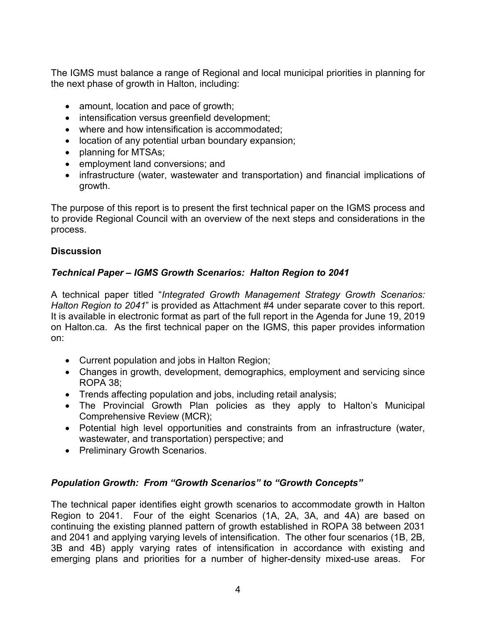The IGMS must balance a range of Regional and local municipal priorities in planning for the next phase of growth in Halton, including:

- amount, location and pace of growth;
- intensification versus greenfield development;
- where and how intensification is accommodated;
- location of any potential urban boundary expansion;
- planning for MTSAs;
- employment land conversions; and
- infrastructure (water, wastewater and transportation) and financial implications of growth.

The purpose of this report is to present the first technical paper on the IGMS process and to provide Regional Council with an overview of the next steps and considerations in the process.

# **Discussion**

# *Technical Paper – IGMS Growth Scenarios: Halton Region to 2041*

A technical paper titled "*Integrated Growth Management Strategy Growth Scenarios: Halton Region to 2041*" is provided as Attachment #4 under separate cover to this report. It is available in electronic format as part of the full report in the Agenda for June 19, 2019 on Halton.ca. As the first technical paper on the IGMS, this paper provides information on:

- Current population and jobs in Halton Region;
- Changes in growth, development, demographics, employment and servicing since ROPA 38;
- Trends affecting population and jobs, including retail analysis;
- The Provincial Growth Plan policies as they apply to Halton's Municipal Comprehensive Review (MCR);
- Potential high level opportunities and constraints from an infrastructure (water, wastewater, and transportation) perspective; and
- Preliminary Growth Scenarios.

# *Population Growth: From "Growth Scenarios" to "Growth Concepts"*

The technical paper identifies eight growth scenarios to accommodate growth in Halton Region to 2041. Four of the eight Scenarios (1A, 2A, 3A, and 4A) are based on continuing the existing planned pattern of growth established in ROPA 38 between 2031 and 2041 and applying varying levels of intensification. The other four scenarios (1B, 2B, 3B and 4B) apply varying rates of intensification in accordance with existing and emerging plans and priorities for a number of higher-density mixed-use areas. For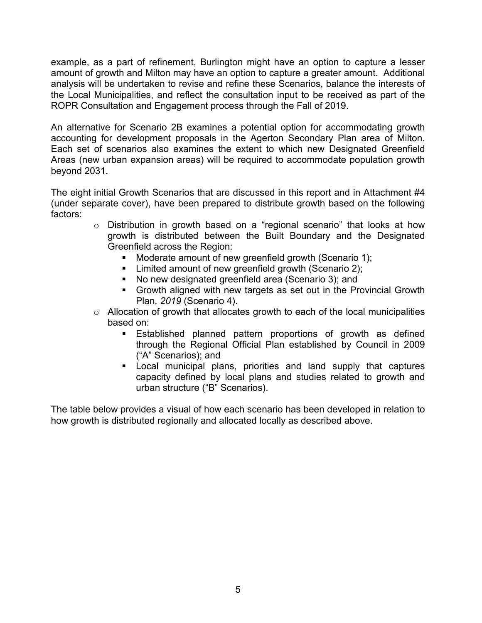example, as a part of refinement, Burlington might have an option to capture a lesser amount of growth and Milton may have an option to capture a greater amount. Additional analysis will be undertaken to revise and refine these Scenarios, balance the interests of the Local Municipalities, and reflect the consultation input to be received as part of the ROPR Consultation and Engagement process through the Fall of 2019.

An alternative for Scenario 2B examines a potential option for accommodating growth accounting for development proposals in the Agerton Secondary Plan area of Milton. Each set of scenarios also examines the extent to which new Designated Greenfield Areas (new urban expansion areas) will be required to accommodate population growth beyond 2031.

The eight initial Growth Scenarios that are discussed in this report and in Attachment #4 (under separate cover), have been prepared to distribute growth based on the following factors:

- o Distribution in growth based on a "regional scenario" that looks at how growth is distributed between the Built Boundary and the Designated Greenfield across the Region:
	- Moderate amount of new greenfield growth (Scenario 1);
	- **EXECT** Limited amount of new greenfield growth (Scenario 2);
	- No new designated greenfield area (Scenario 3); and
	- Growth aligned with new targets as set out in the Provincial Growth Plan*, 2019* (Scenario 4).
- o Allocation of growth that allocates growth to each of the local municipalities based on:
	- **Established planned pattern proportions of growth as defined** through the Regional Official Plan established by Council in 2009 ("A" Scenarios); and
	- Local municipal plans, priorities and land supply that captures capacity defined by local plans and studies related to growth and urban structure ("B" Scenarios).

The table below provides a visual of how each scenario has been developed in relation to how growth is distributed regionally and allocated locally as described above.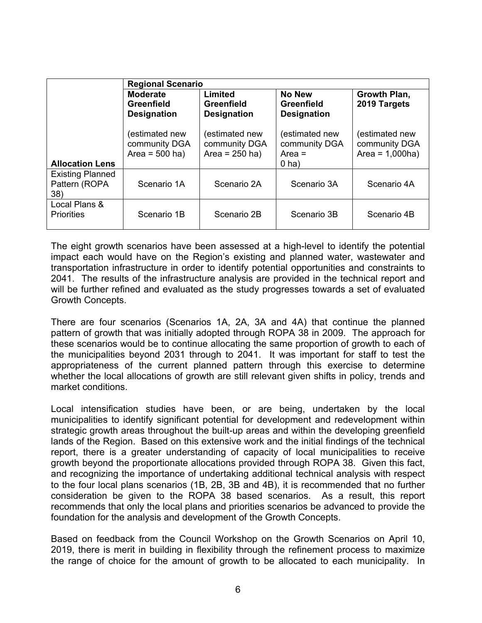|                                                                                       | <b>Regional Scenario</b>                                   |                                                     |                                                          |                                                       |  |
|---------------------------------------------------------------------------------------|------------------------------------------------------------|-----------------------------------------------------|----------------------------------------------------------|-------------------------------------------------------|--|
|                                                                                       | <b>Moderate</b><br><b>Greenfield</b><br><b>Designation</b> | Limited<br><b>Greenfield</b><br><b>Designation</b>  | <b>No New</b><br><b>Greenfield</b><br><b>Designation</b> | Growth Plan,<br>2019 Targets                          |  |
| <b>Allocation Lens</b>                                                                | (estimated new<br>community DGA<br>Area = $500$ ha)        | (estimated new<br>community DGA<br>Area = $250$ ha) | (estimated new<br>community DGA<br>Area $=$<br>$0$ ha)   | (estimated new<br>community DGA<br>Area = $1,000$ ha) |  |
| <b>Existing Planned</b><br>Pattern (ROPA<br>38)<br>Local Plans &<br><b>Priorities</b> | Scenario 1A                                                | Scenario 2A                                         | Scenario 3A                                              | Scenario 4A                                           |  |
|                                                                                       | Scenario 1B                                                | Scenario 2B                                         | Scenario 3B                                              | Scenario 4B                                           |  |

The eight growth scenarios have been assessed at a high-level to identify the potential impact each would have on the Region's existing and planned water, wastewater and transportation infrastructure in order to identify potential opportunities and constraints to 2041. The results of the infrastructure analysis are provided in the technical report and will be further refined and evaluated as the study progresses towards a set of evaluated Growth Concepts.

There are four scenarios (Scenarios 1A, 2A, 3A and 4A) that continue the planned pattern of growth that was initially adopted through ROPA 38 in 2009. The approach for these scenarios would be to continue allocating the same proportion of growth to each of the municipalities beyond 2031 through to 2041. It was important for staff to test the appropriateness of the current planned pattern through this exercise to determine whether the local allocations of growth are still relevant given shifts in policy, trends and market conditions.

Local intensification studies have been, or are being, undertaken by the local municipalities to identify significant potential for development and redevelopment within strategic growth areas throughout the built-up areas and within the developing greenfield lands of the Region. Based on this extensive work and the initial findings of the technical report, there is a greater understanding of capacity of local municipalities to receive growth beyond the proportionate allocations provided through ROPA 38. Given this fact, and recognizing the importance of undertaking additional technical analysis with respect to the four local plans scenarios (1B, 2B, 3B and 4B), it is recommended that no further consideration be given to the ROPA 38 based scenarios. As a result, this report recommends that only the local plans and priorities scenarios be advanced to provide the foundation for the analysis and development of the Growth Concepts.

Based on feedback from the Council Workshop on the Growth Scenarios on April 10, 2019, there is merit in building in flexibility through the refinement process to maximize the range of choice for the amount of growth to be allocated to each municipality. In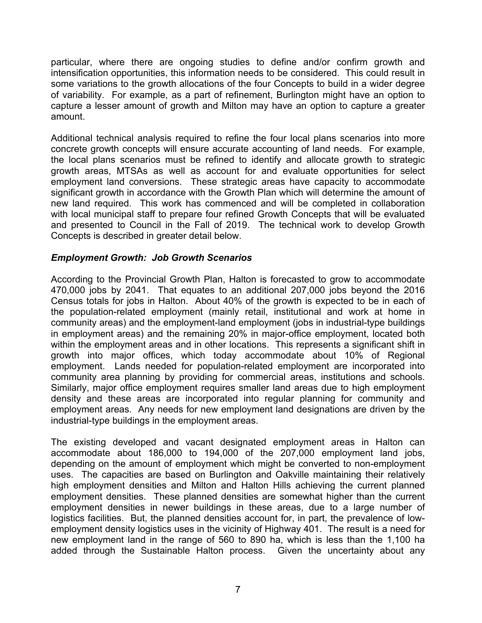particular, where there are ongoing studies to define and/or confirm growth and intensification opportunities, this information needs to be considered. This could result in some variations to the growth allocations of the four Concepts to build in a wider degree of variability. For example, as a part of refinement, Burlington might have an option to capture a lesser amount of growth and Milton may have an option to capture a greater amount.

Additional technical analysis required to refine the four local plans scenarios into more concrete growth concepts will ensure accurate accounting of land needs. For example, the local plans scenarios must be refined to identify and allocate growth to strategic growth areas, MTSAs as well as account for and evaluate opportunities for select employment land conversions. These strategic areas have capacity to accommodate significant growth in accordance with the Growth Plan which will determine the amount of new land required. This work has commenced and will be completed in collaboration with local municipal staff to prepare four refined Growth Concepts that will be evaluated and presented to Council in the Fall of 2019. The technical work to develop Growth Concepts is described in greater detail below.

### *Employment Growth: Job Growth Scenarios*

According to the Provincial Growth Plan, Halton is forecasted to grow to accommodate 470,000 jobs by 2041. That equates to an additional 207,000 jobs beyond the 2016 Census totals for jobs in Halton. About 40% of the growth is expected to be in each of the population-related employment (mainly retail, institutional and work at home in community areas) and the employment-land employment (jobs in industrial-type buildings in employment areas) and the remaining 20% in major-office employment, located both within the employment areas and in other locations. This represents a significant shift in growth into major offices, which today accommodate about 10% of Regional employment. Lands needed for population-related employment are incorporated into community area planning by providing for commercial areas, institutions and schools. Similarly, major office employment requires smaller land areas due to high employment density and these areas are incorporated into regular planning for community and employment areas. Any needs for new employment land designations are driven by the industrial-type buildings in the employment areas.

The existing developed and vacant designated employment areas in Halton can accommodate about 186,000 to 194,000 of the 207,000 employment land jobs, depending on the amount of employment which might be converted to non-employment uses. The capacities are based on Burlington and Oakville maintaining their relatively high employment densities and Milton and Halton Hills achieving the current planned employment densities. These planned densities are somewhat higher than the current employment densities in newer buildings in these areas, due to a large number of logistics facilities. But, the planned densities account for, in part, the prevalence of lowemployment density logistics uses in the vicinity of Highway 401. The result is a need for new employment land in the range of 560 to 890 ha, which is less than the 1,100 ha added through the Sustainable Halton process. Given the uncertainty about any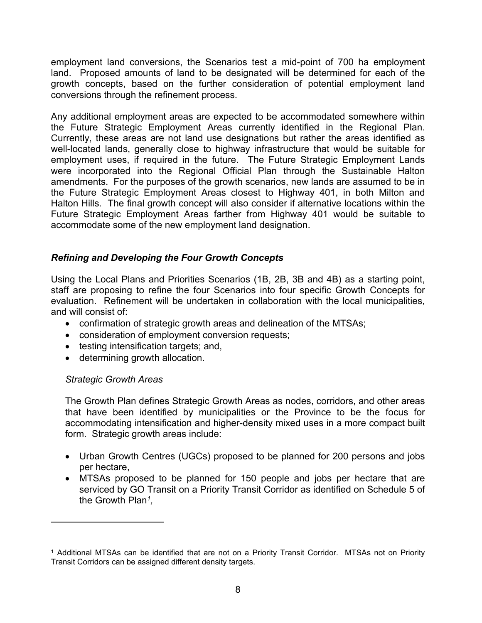employment land conversions, the Scenarios test a mid-point of 700 ha employment land. Proposed amounts of land to be designated will be determined for each of the growth concepts, based on the further consideration of potential employment land conversions through the refinement process.

Any additional employment areas are expected to be accommodated somewhere within the Future Strategic Employment Areas currently identified in the Regional Plan. Currently, these areas are not land use designations but rather the areas identified as well-located lands, generally close to highway infrastructure that would be suitable for employment uses, if required in the future. The Future Strategic Employment Lands were incorporated into the Regional Official Plan through the Sustainable Halton amendments. For the purposes of the growth scenarios, new lands are assumed to be in the Future Strategic Employment Areas closest to Highway 401, in both Milton and Halton Hills. The final growth concept will also consider if alternative locations within the Future Strategic Employment Areas farther from Highway 401 would be suitable to accommodate some of the new employment land designation.

### *Refining and Developing the Four Growth Concepts*

Using the Local Plans and Priorities Scenarios (1B, 2B, 3B and 4B) as a starting point, staff are proposing to refine the four Scenarios into four specific Growth Concepts for evaluation. Refinement will be undertaken in collaboration with the local municipalities, and will consist of:

- confirmation of strategic growth areas and delineation of the MTSAs;
- consideration of employment conversion requests;
- testing intensification targets; and,
- determining growth allocation.

#### *Strategic Growth Areas*

The Growth Plan defines Strategic Growth Areas as nodes, corridors, and other areas that have been identified by municipalities or the Province to be the focus for accommodating intensification and higher-density mixed uses in a more compact built form. Strategic growth areas include:

- Urban Growth Centres (UGCs) proposed to be planned for 200 persons and jobs per hectare,
- MTSAs proposed to be planned for 150 people and jobs per hectare that are serviced by GO Transit on a Priority Transit Corridor as identified on Schedule 5 of the Growth Plan*<sup>1</sup> ,*

<sup>1</sup> Additional MTSAs can be identified that are not on a Priority Transit Corridor. MTSAs not on Priority Transit Corridors can be assigned different density targets.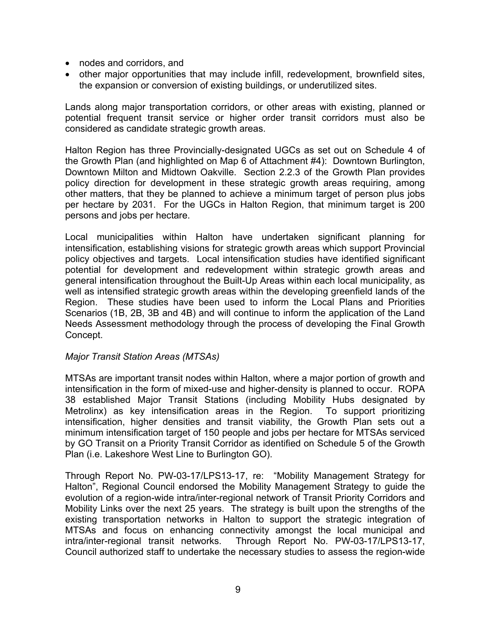- nodes and corridors, and
- other major opportunities that may include infill, redevelopment, brownfield sites, the expansion or conversion of existing buildings, or underutilized sites.

Lands along major transportation corridors, or other areas with existing, planned or potential frequent transit service or higher order transit corridors must also be considered as candidate strategic growth areas.

Halton Region has three Provincially-designated UGCs as set out on Schedule 4 of the Growth Plan (and highlighted on Map 6 of Attachment #4): Downtown Burlington, Downtown Milton and Midtown Oakville. Section 2.2.3 of the Growth Plan provides policy direction for development in these strategic growth areas requiring, among other matters, that they be planned to achieve a minimum target of person plus jobs per hectare by 2031. For the UGCs in Halton Region, that minimum target is 200 persons and jobs per hectare.

Local municipalities within Halton have undertaken significant planning for intensification, establishing visions for strategic growth areas which support Provincial policy objectives and targets. Local intensification studies have identified significant potential for development and redevelopment within strategic growth areas and general intensification throughout the Built-Up Areas within each local municipality, as well as intensified strategic growth areas within the developing greenfield lands of the Region. These studies have been used to inform the Local Plans and Priorities Scenarios (1B, 2B, 3B and 4B) and will continue to inform the application of the Land Needs Assessment methodology through the process of developing the Final Growth Concept.

### *Major Transit Station Areas (MTSAs)*

MTSAs are important transit nodes within Halton, where a major portion of growth and intensification in the form of mixed-use and higher-density is planned to occur. ROPA 38 established Major Transit Stations (including Mobility Hubs designated by Metrolinx) as key intensification areas in the Region. To support prioritizing intensification, higher densities and transit viability, the Growth Plan sets out a minimum intensification target of 150 people and jobs per hectare for MTSAs serviced by GO Transit on a Priority Transit Corridor as identified on Schedule 5 of the Growth Plan (i.e. Lakeshore West Line to Burlington GO).

Through Report No. PW-03-17/LPS13-17, re: "Mobility Management Strategy for Halton", Regional Council endorsed the Mobility Management Strategy to guide the evolution of a region-wide intra/inter-regional network of Transit Priority Corridors and Mobility Links over the next 25 years. The strategy is built upon the strengths of the existing transportation networks in Halton to support the strategic integration of MTSAs and focus on enhancing connectivity amongst the local municipal and intra/inter-regional transit networks. Through Report No. PW-03-17/LPS13-17, Council authorized staff to undertake the necessary studies to assess the region-wide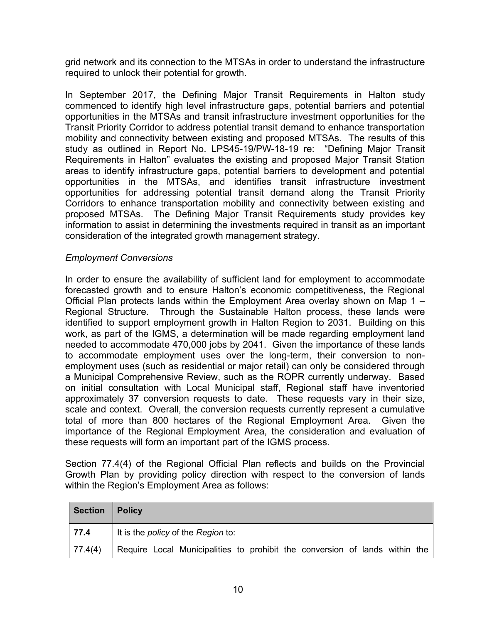grid network and its connection to the MTSAs in order to understand the infrastructure required to unlock their potential for growth.

In September 2017, the Defining Major Transit Requirements in Halton study commenced to identify high level infrastructure gaps, potential barriers and potential opportunities in the MTSAs and transit infrastructure investment opportunities for the Transit Priority Corridor to address potential transit demand to enhance transportation mobility and connectivity between existing and proposed MTSAs. The results of this study as outlined in Report No. LPS45-19/PW-18-19 re: "Defining Major Transit Requirements in Halton" evaluates the existing and proposed Major Transit Station areas to identify infrastructure gaps, potential barriers to development and potential opportunities in the MTSAs, and identifies transit infrastructure investment opportunities for addressing potential transit demand along the Transit Priority Corridors to enhance transportation mobility and connectivity between existing and proposed MTSAs. The Defining Major Transit Requirements study provides key information to assist in determining the investments required in transit as an important consideration of the integrated growth management strategy.

### *Employment Conversions*

In order to ensure the availability of sufficient land for employment to accommodate forecasted growth and to ensure Halton's economic competitiveness, the Regional Official Plan protects lands within the Employment Area overlay shown on Map 1 – Regional Structure. Through the Sustainable Halton process, these lands were identified to support employment growth in Halton Region to 2031. Building on this work, as part of the IGMS, a determination will be made regarding employment land needed to accommodate 470,000 jobs by 2041. Given the importance of these lands to accommodate employment uses over the long-term, their conversion to nonemployment uses (such as residential or major retail) can only be considered through a Municipal Comprehensive Review, such as the ROPR currently underway. Based on initial consultation with Local Municipal staff, Regional staff have inventoried approximately 37 conversion requests to date. These requests vary in their size, scale and context. Overall, the conversion requests currently represent a cumulative total of more than 800 hectares of the Regional Employment Area. Given the importance of the Regional Employment Area, the consideration and evaluation of these requests will form an important part of the IGMS process.

Section 77.4(4) of the Regional Official Plan reflects and builds on the Provincial Growth Plan by providing policy direction with respect to the conversion of lands within the Region's Employment Area as follows:

| <b>Section</b> | Policy                                                                      |
|----------------|-----------------------------------------------------------------------------|
| 77.4           | It is the <i>policy</i> of the Region to:                                   |
| 77.4(4)        | Require Local Municipalities to prohibit the conversion of lands within the |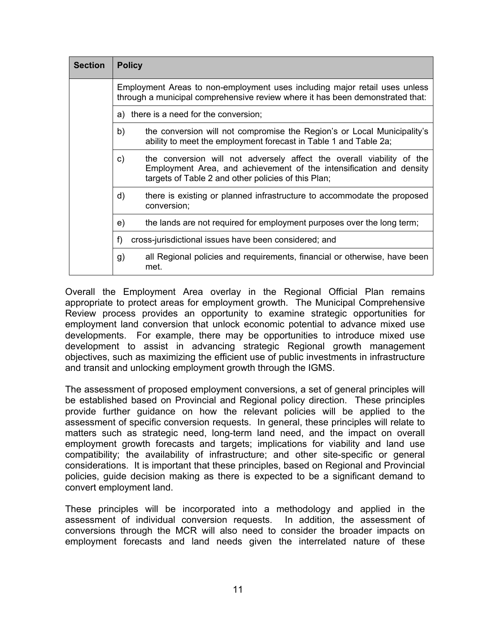| <b>Section</b> | <b>Policy</b>                                                                                                                                               |                                                                                                                                                                                                     |  |  |
|----------------|-------------------------------------------------------------------------------------------------------------------------------------------------------------|-----------------------------------------------------------------------------------------------------------------------------------------------------------------------------------------------------|--|--|
|                | Employment Areas to non-employment uses including major retail uses unless<br>through a municipal comprehensive review where it has been demonstrated that: |                                                                                                                                                                                                     |  |  |
|                |                                                                                                                                                             | a) there is a need for the conversion;                                                                                                                                                              |  |  |
| b)             |                                                                                                                                                             | the conversion will not compromise the Region's or Local Municipality's<br>ability to meet the employment forecast in Table 1 and Table 2a;                                                         |  |  |
|                | c)                                                                                                                                                          | the conversion will not adversely affect the overall viability of the<br>Employment Area, and achievement of the intensification and density<br>targets of Table 2 and other policies of this Plan; |  |  |
|                | d)                                                                                                                                                          | there is existing or planned infrastructure to accommodate the proposed<br>conversion;                                                                                                              |  |  |
|                | e)                                                                                                                                                          | the lands are not required for employment purposes over the long term;                                                                                                                              |  |  |
|                | f                                                                                                                                                           | cross-jurisdictional issues have been considered; and                                                                                                                                               |  |  |
|                | g)                                                                                                                                                          | all Regional policies and requirements, financial or otherwise, have been<br>met.                                                                                                                   |  |  |

Overall the Employment Area overlay in the Regional Official Plan remains appropriate to protect areas for employment growth. The Municipal Comprehensive Review process provides an opportunity to examine strategic opportunities for employment land conversion that unlock economic potential to advance mixed use developments. For example, there may be opportunities to introduce mixed use development to assist in advancing strategic Regional growth management objectives, such as maximizing the efficient use of public investments in infrastructure and transit and unlocking employment growth through the IGMS.

The assessment of proposed employment conversions, a set of general principles will be established based on Provincial and Regional policy direction. These principles provide further guidance on how the relevant policies will be applied to the assessment of specific conversion requests. In general, these principles will relate to matters such as strategic need, long-term land need, and the impact on overall employment growth forecasts and targets; implications for viability and land use compatibility; the availability of infrastructure; and other site-specific or general considerations. It is important that these principles, based on Regional and Provincial policies, guide decision making as there is expected to be a significant demand to convert employment land.

These principles will be incorporated into a methodology and applied in the assessment of individual conversion requests. In addition, the assessment of conversions through the MCR will also need to consider the broader impacts on employment forecasts and land needs given the interrelated nature of these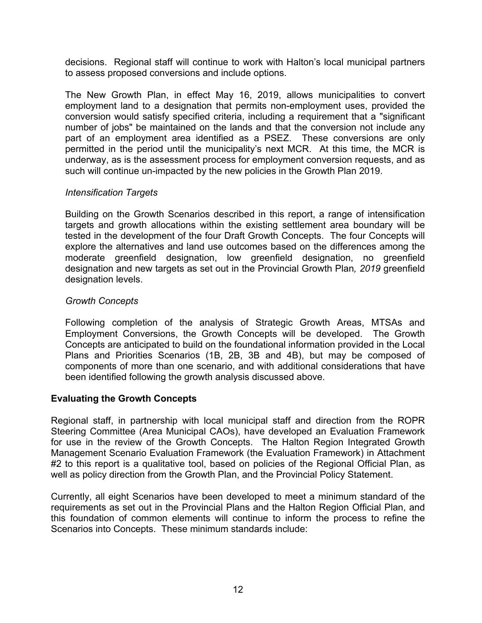decisions. Regional staff will continue to work with Halton's local municipal partners to assess proposed conversions and include options.

The New Growth Plan, in effect May 16, 2019, allows municipalities to convert employment land to a designation that permits non-employment uses, provided the conversion would satisfy specified criteria, including a requirement that a "significant number of jobs" be maintained on the lands and that the conversion not include any part of an employment area identified as a PSEZ. These conversions are only permitted in the period until the municipality's next MCR. At this time, the MCR is underway, as is the assessment process for employment conversion requests, and as such will continue un-impacted by the new policies in the Growth Plan 2019.

### *Intensification Targets*

Building on the Growth Scenarios described in this report, a range of intensification targets and growth allocations within the existing settlement area boundary will be tested in the development of the four Draft Growth Concepts. The four Concepts will explore the alternatives and land use outcomes based on the differences among the moderate greenfield designation, low greenfield designation, no greenfield designation and new targets as set out in the Provincial Growth Plan*, 2019* greenfield designation levels.

### *Growth Concepts*

Following completion of the analysis of Strategic Growth Areas, MTSAs and Employment Conversions, the Growth Concepts will be developed. The Growth Concepts are anticipated to build on the foundational information provided in the Local Plans and Priorities Scenarios (1B, 2B, 3B and 4B), but may be composed of components of more than one scenario, and with additional considerations that have been identified following the growth analysis discussed above.

# **Evaluating the Growth Concepts**

Regional staff, in partnership with local municipal staff and direction from the ROPR Steering Committee (Area Municipal CAOs), have developed an Evaluation Framework for use in the review of the Growth Concepts. The Halton Region Integrated Growth Management Scenario Evaluation Framework (the Evaluation Framework) in Attachment #2 to this report is a qualitative tool, based on policies of the Regional Official Plan, as well as policy direction from the Growth Plan, and the Provincial Policy Statement.

Currently, all eight Scenarios have been developed to meet a minimum standard of the requirements as set out in the Provincial Plans and the Halton Region Official Plan, and this foundation of common elements will continue to inform the process to refine the Scenarios into Concepts. These minimum standards include: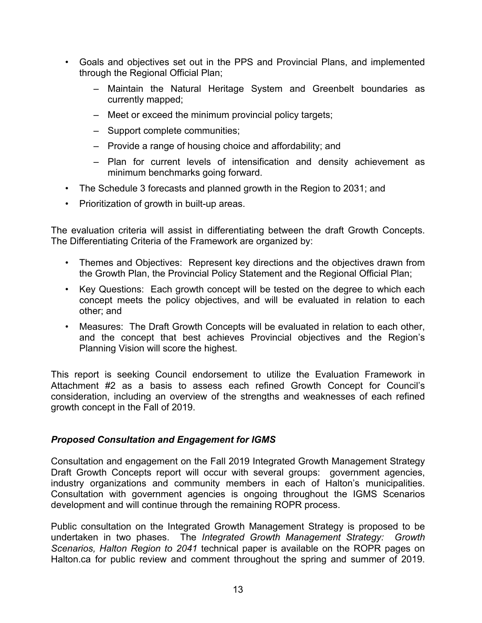- Goals and objectives set out in the PPS and Provincial Plans, and implemented through the Regional Official Plan;
	- Maintain the Natural Heritage System and Greenbelt boundaries as currently mapped;
	- Meet or exceed the minimum provincial policy targets;
	- Support complete communities;
	- Provide a range of housing choice and affordability; and
	- Plan for current levels of intensification and density achievement as minimum benchmarks going forward.
- The Schedule 3 forecasts and planned growth in the Region to 2031; and
- Prioritization of growth in built-up areas.

The evaluation criteria will assist in differentiating between the draft Growth Concepts. The Differentiating Criteria of the Framework are organized by:

- Themes and Objectives: Represent key directions and the objectives drawn from the Growth Plan, the Provincial Policy Statement and the Regional Official Plan;
- Key Questions: Each growth concept will be tested on the degree to which each concept meets the policy objectives, and will be evaluated in relation to each other; and
- Measures: The Draft Growth Concepts will be evaluated in relation to each other, and the concept that best achieves Provincial objectives and the Region's Planning Vision will score the highest.

This report is seeking Council endorsement to utilize the Evaluation Framework in Attachment #2 as a basis to assess each refined Growth Concept for Council's consideration, including an overview of the strengths and weaknesses of each refined growth concept in the Fall of 2019.

# *Proposed Consultation and Engagement for IGMS*

Consultation and engagement on the Fall 2019 Integrated Growth Management Strategy Draft Growth Concepts report will occur with several groups: government agencies, industry organizations and community members in each of Halton's municipalities. Consultation with government agencies is ongoing throughout the IGMS Scenarios development and will continue through the remaining ROPR process.

Public consultation on the Integrated Growth Management Strategy is proposed to be undertaken in two phases. The *Integrated Growth Management Strategy: Growth Scenarios, Halton Region to 2041* technical paper is available on the ROPR pages on Halton.ca for public review and comment throughout the spring and summer of 2019.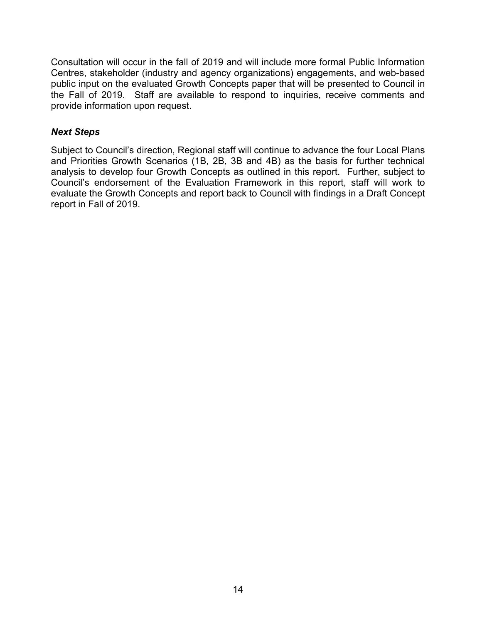Consultation will occur in the fall of 2019 and will include more formal Public Information Centres, stakeholder (industry and agency organizations) engagements, and web-based public input on the evaluated Growth Concepts paper that will be presented to Council in the Fall of 2019. Staff are available to respond to inquiries, receive comments and provide information upon request.

## *Next Steps*

Subject to Council's direction, Regional staff will continue to advance the four Local Plans and Priorities Growth Scenarios (1B, 2B, 3B and 4B) as the basis for further technical analysis to develop four Growth Concepts as outlined in this report. Further, subject to Council's endorsement of the Evaluation Framework in this report, staff will work to evaluate the Growth Concepts and report back to Council with findings in a Draft Concept report in Fall of 2019.